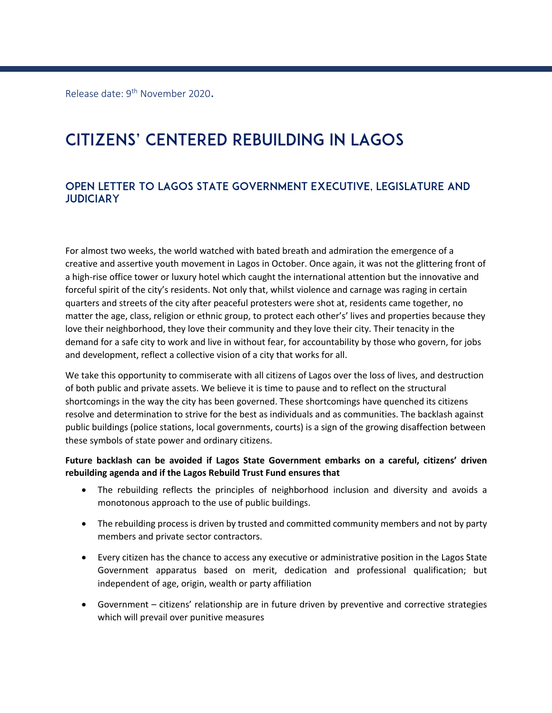Release date: 9<sup>th</sup> November 2020.

# Citizens' Centered Rebuilding in Lagos

# Open Letter to Lagos State Government Executive, Legislature and **JUDICIARY**

For almost two weeks, the world watched with bated breath and admiration the emergence of a creative and assertive youth movement in Lagos in October. Once again, it was not the glittering front of a high-rise office tower or luxury hotel which caught the international attention but the innovative and forceful spirit of the city's residents. Not only that, whilst violence and carnage was raging in certain quarters and streets of the city after peaceful protesters were shot at, residents came together, no matter the age, class, religion or ethnic group, to protect each other's' lives and properties because they love their neighborhood, they love their community and they love their city. Their tenacity in the demand for a safe city to work and live in without fear, for accountability by those who govern, for jobs and development, reflect a collective vision of a city that works for all.

We take this opportunity to commiserate with all citizens of Lagos over the loss of lives, and destruction of both public and private assets. We believe it is time to pause and to reflect on the structural shortcomings in the way the city has been governed. These shortcomings have quenched its citizens resolve and determination to strive for the best as individuals and as communities. The backlash against public buildings (police stations, local governments, courts) is a sign of the growing disaffection between these symbols of state power and ordinary citizens.

#### **Future backlash can be avoided if Lagos State Government embarks on a careful, citizens' driven rebuilding agenda and if the Lagos Rebuild Trust Fund ensures that**

- The rebuilding reflects the principles of neighborhood inclusion and diversity and avoids a monotonous approach to the use of public buildings.
- The rebuilding process is driven by trusted and committed community members and not by party members and private sector contractors.
- Every citizen has the chance to access any executive or administrative position in the Lagos State Government apparatus based on merit, dedication and professional qualification; but independent of age, origin, wealth or party affiliation
- Government citizens' relationship are in future driven by preventive and corrective strategies which will prevail over punitive measures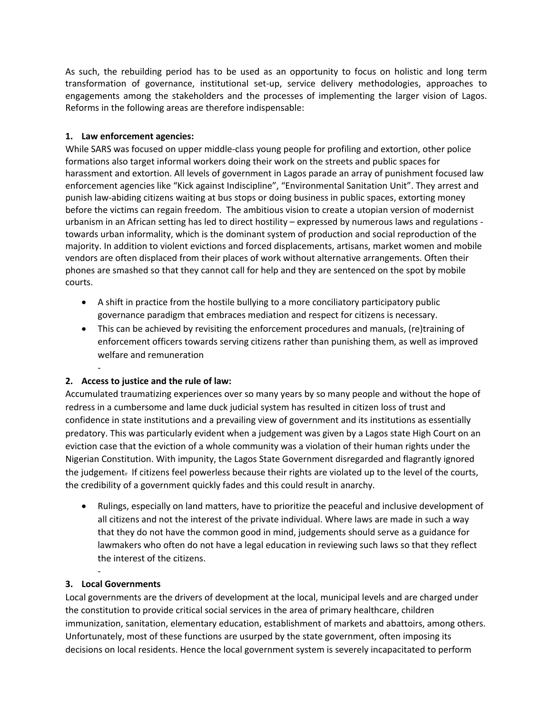As such, the rebuilding period has to be used as an opportunity to focus on holistic and long term transformation of governance, institutional set-up, service delivery methodologies, approaches to engagements among the stakeholders and the processes of implementing the larger vision of Lagos. Reforms in the following areas are therefore indispensable:

#### **1. Law enforcement agencies:**

While SARS was focused on upper middle-class young people for profiling and extortion, other police formations also target informal workers doing their work on the streets and public spaces for harassment and extortion. All levels of government in Lagos parade an array of punishment focused law enforcement agencies like "Kick against Indiscipline", "Environmental Sanitation Unit". They arrest and punish law-abiding citizens waiting at bus stops or doing business in public spaces, extorting money before the victims can regain freedom. The ambitious vision to create a utopian version of modernist urbanism in an African setting has led to direct hostility – expressed by numerous laws and regulations towards urban informality, which is the dominant system of production and social reproduction of the majority. In addition to violent evictions and forced displacements, artisans, market women and mobile vendors are often displaced from their places of work without alternative arrangements. Often their phones are smashed so that they cannot call for help and they are sentenced on the spot by mobile courts.

- A shift in practice from the hostile bullying to a more conciliatory participatory public governance paradigm that embraces mediation and respect for citizens is necessary.
- This can be achieved by revisiting the enforcement procedures and manuals, (re)training of enforcement officers towards serving citizens rather than punishing them, as well as improved welfare and remuneration

#### **2. Access to justice and the rule of law:**

-

Accumulated traumatizing experiences over so many years by so many people and without the hope of redress in a cumbersome and lame duck judicial system has resulted in citizen loss of trust and confidence in state institutions and a prevailing view of government and its institutions as essentially predatory. This was particularly evident when a judgement was given by a Lagos state High Court on an eviction case that the eviction of a whole community was a violation of their human rights under the Nigerian Constitution. With impunity, the Lagos State Government disregarded and flagrantly ignored the judgement. If citizens feel powerless because their rights are violated up to the level of the courts, the credibility of a government quickly fades and this could result in anarchy.

• Rulings, especially on land matters, have to prioritize the peaceful and inclusive development of all citizens and not the interest of the private individual. Where laws are made in such a way that they do not have the common good in mind, judgements should serve as a guidance for lawmakers who often do not have a legal education in reviewing such laws so that they reflect the interest of the citizens.

#### **3. Local Governments**

-

Local governments are the drivers of development at the local, municipal levels and are charged under the constitution to provide critical social services in the area of primary healthcare, children immunization, sanitation, elementary education, establishment of markets and abattoirs, among others. Unfortunately, most of these functions are usurped by the state government, often imposing its decisions on local residents. Hence the local government system is severely incapacitated to perform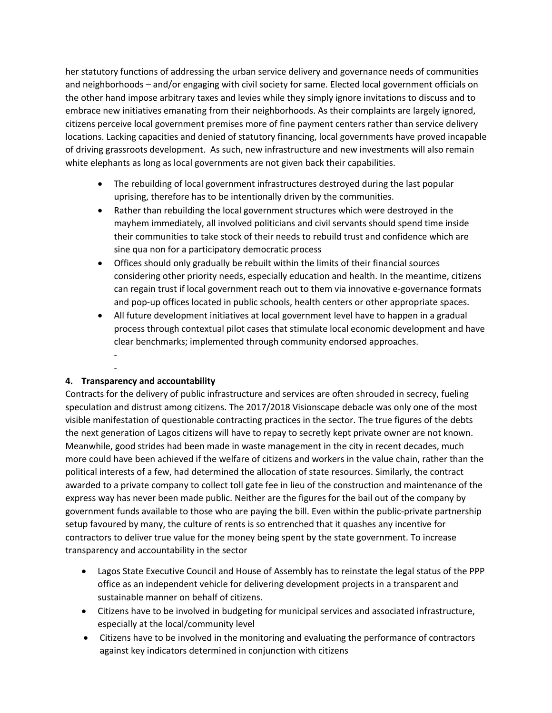her statutory functions of addressing the urban service delivery and governance needs of communities and neighborhoods – and/or engaging with civil society for same. Elected local government officials on the other hand impose arbitrary taxes and levies while they simply ignore invitations to discuss and to embrace new initiatives emanating from their neighborhoods. As their complaints are largely ignored, citizens perceive local government premises more of fine payment centers rather than service delivery locations. Lacking capacities and denied of statutory financing, local governments have proved incapable of driving grassroots development. As such, new infrastructure and new investments will also remain white elephants as long as local governments are not given back their capabilities.

- The rebuilding of local government infrastructures destroyed during the last popular uprising, therefore has to be intentionally driven by the communities.
- Rather than rebuilding the local government structures which were destroyed in the mayhem immediately, all involved politicians and civil servants should spend time inside their communities to take stock of their needs to rebuild trust and confidence which are sine qua non for a participatory democratic process
- Offices should only gradually be rebuilt within the limits of their financial sources considering other priority needs, especially education and health. In the meantime, citizens can regain trust if local government reach out to them via innovative e-governance formats and pop-up offices located in public schools, health centers or other appropriate spaces.
- All future development initiatives at local government level have to happen in a gradual process through contextual pilot cases that stimulate local economic development and have clear benchmarks; implemented through community endorsed approaches. -

## **4. Transparency and accountability**

-

Contracts for the delivery of public infrastructure and services are often shrouded in secrecy, fueling speculation and distrust among citizens. The 2017/2018 Visionscape debacle was only one of the most visible manifestation of questionable contracting practices in the sector. The true figures of the debts the next generation of Lagos citizens will have to repay to secretly kept private owner are not known. Meanwhile, good strides had been made in waste management in the city in recent decades, much more could have been achieved if the welfare of citizens and workers in the value chain, rather than the political interests of a few, had determined the allocation of state resources. Similarly, the contract awarded to a private company to collect toll gate fee in lieu of the construction and maintenance of the express way has never been made public. Neither are the figures for the bail out of the company by government funds available to those who are paying the bill. Even within the public-private partnership setup favoured by many, the culture of rents is so entrenched that it quashes any incentive for contractors to deliver true value for the money being spent by the state government. To increase transparency and accountability in the sector

- Lagos State Executive Council and House of Assembly has to reinstate the legal status of the PPP office as an independent vehicle for delivering development projects in a transparent and sustainable manner on behalf of citizens.
- Citizens have to be involved in budgeting for municipal services and associated infrastructure, especially at the local/community level
- Citizens have to be involved in the monitoring and evaluating the performance of contractors against key indicators determined in conjunction with citizens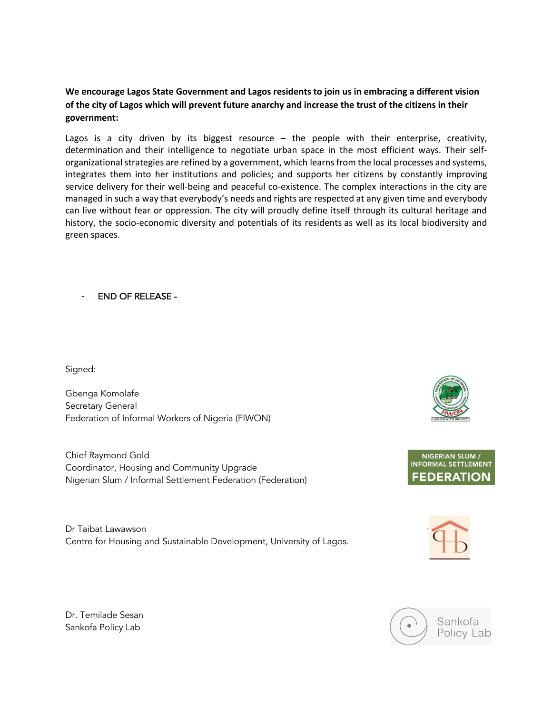### **We encourage Lagos State Government and Lagos residents to join us in embracing a different vision of the city of Lagos which will prevent future anarchy and increase the trust of the citizens in their government:**

Lagos is a city driven by its biggest resource - the people with their enterprise, creativity, determination and their intelligence to negotiate urban space in the most efficient ways. Their selforganizational strategies are refined by a government, which learns from the local processes and systems, integrates them into her institutions and policies; and supports her citizens by constantly improving service delivery for their well-being and peaceful co-existence. The complex interactions in the city are managed in such a way that everybody's needs and rights are respected at any given time and everybody can live without fear or oppression. The city will proudly define itself through its cultural heritage and history, the socio-economic diversity and potentials of its residents as well as its local biodiversity and green spaces.

### - END OF RELEASE -

Signed:

Gbenga Komolafe Secretary General Federation of Informal Workers of Nigeria (FIWON)

Chief Raymond Gold Coordinator, Housing and Community Upgrade Nigerian Slum / Informal Settlement Federation (Federation)

Dr Taibat Lawawson Centre for Housing and Sustainable Development, University of Lagos.









Dr. Temilade Sesan Sankofa Policy Lab